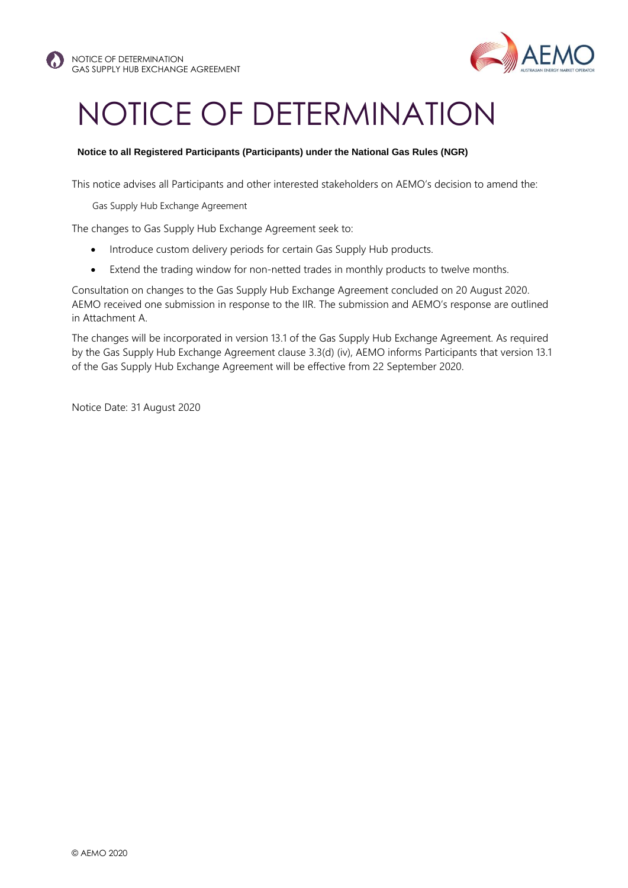

## NOTICE OF DETERMINATION

## **Notice to all Registered Participants (Participants) under the National Gas Rules (NGR)**

This notice advises all Participants and other interested stakeholders on AEMO's decision to amend the:

Gas Supply Hub Exchange Agreement

The changes to Gas Supply Hub Exchange Agreement seek to:

- Introduce custom delivery periods for certain Gas Supply Hub products.
- Extend the trading window for non-netted trades in monthly products to twelve months.

Consultation on changes to the Gas Supply Hub Exchange Agreement concluded on 20 August 2020. AEMO received one submission in response to the IIR. The submission and AEMO's response are outlined in Attachment A.

The changes will be incorporated in version 13.1 of the Gas Supply Hub Exchange Agreement. As required by the Gas Supply Hub Exchange Agreement clause 3.3(d) (iv), AEMO informs Participants that version 13.1 of the Gas Supply Hub Exchange Agreement will be effective from 22 September 2020.

Notice Date: 31 August 2020